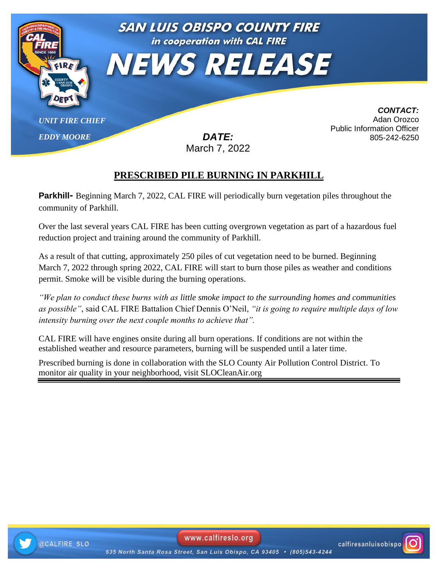

## **PRESCRIBED PILE BURNING IN PARKHILL**

**Parkhill** Beginning March 7, 2022, CAL FIRE will periodically burn vegetation piles throughout the community of Parkhill. **CAL FIRE/SAN LUIS OBISPO COUNTY FIRE DEPARTMENT**

Over the last several years CAL FIRE has been cutting overgrown vegetation as part of a hazardous fuel reduction project and training around the community of Parkhill.

As a result of that cutting, approximately 250 piles of cut vegetation need to be burned. Beginning March 7, 2022 through spring 2022, CAL FIRE will start to burn those piles as weather and conditions permit. Smoke will be visible during the burning operations.

*"We plan to conduct these burns with as little smoke impact to the surrounding homes and communities as possible"*, said CAL FIRE Battalion Chief Dennis O'Neil, *"it is going to require multiple days of low intensity burning over the next couple months to achieve that".* 

CAL FIRE will have engines onsite during all burn operations. If conditions are not within the established weather and resource parameters, burning will be suspended until a later time.

Prescribed burning is done in collaboration with the SLO County Air Pollution Control District. To monitor air quality in your neighborhood, visit SLOCleanAir.org



www.calfireslo.org